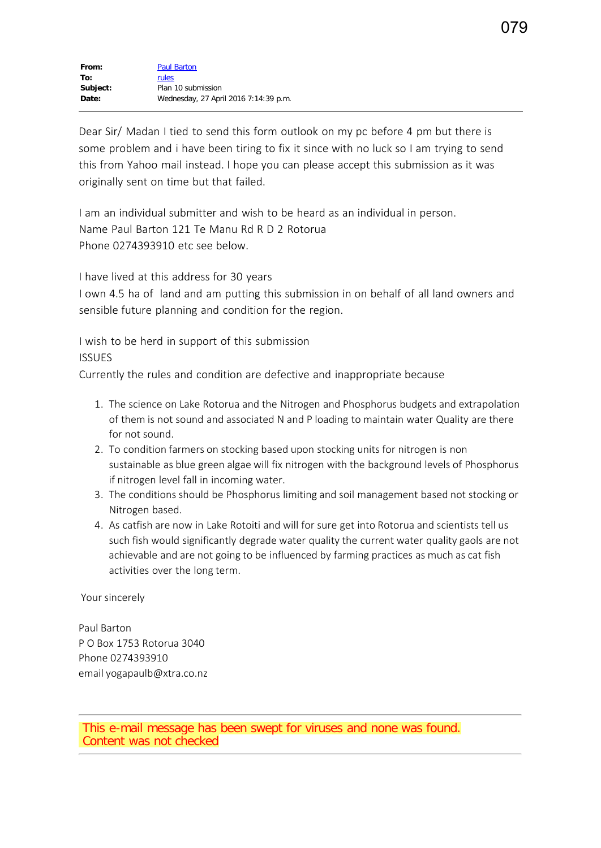Dear Sir/ Madan I tied to send this form outlook on my pc before 4 pm but there is some problem and i have been tiring to fix it since with no luck so I am trying to send this from Yahoo mail instead. I hope you can please accept this submission as it was originally sent on time but that failed.

I am an individual submitter and wish to be heard as an individual in person. Name Paul Barton 121 Te Manu Rd R D 2 Rotorua Phone 0274393910 etc see below.

I have lived at this address for 30 years

I own 4.5 ha of land and am putting this submission in on behalf of all land owners and sensible future planning and condition for the region.

I wish to be herd in support of this submission **ISSUES** 

Currently the rules and condition are defective and inappropriate because

- 1. The science on Lake Rotorua and the Nitrogen and Phosphorus budgets and extrapolation of them is not sound and associated N and P loading to maintain water Quality are there for not sound.
- 2. To condition farmers on stocking based upon stocking units for nitrogen is non sustainable as blue green algae will fix nitrogen with the background levels of Phosphorus if nitrogen level fall in incoming water.
- 3. The conditions should be Phosphorus limiting and soil management based not stocking or Nitrogen based.
- 4. As catfish are now in Lake Rotoiti and will for sure get into Rotorua and scientists tell us such fish would significantly degrade water quality the current water quality gaols are not achievable and are not going to be influenced by farming practices as much as cat fish activities over the long term.

Your sincerely

Paul Barton P O Box 1753 Rotorua 3040 Phone 0274393910 email yogapaulb@xtra.co.nz

This e-mail message has been swept for viruses and none was found. Content was not checked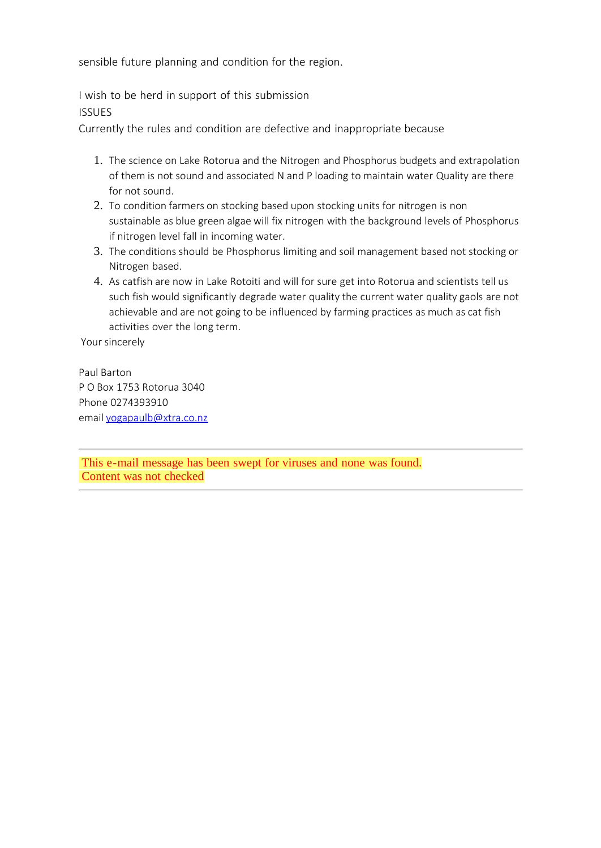sensible future planning and condition for the region.

I wish to be herd in support of this submission ISSUES

Currently the rules and condition are defective and inappropriate because

- 1. The science on Lake Rotorua and the Nitrogen and Phosphorus budgets and extrapolation of them is not sound and associated N and P loading to maintain water Quality are there for not sound.
- 2. To condition farmers on stocking based upon stocking units for nitrogen is non sustainable as blue green algae will fix nitrogen with the background levels of Phosphorus if nitrogen level fall in incoming water.
- 3. The conditions should be Phosphorus limiting and soil management based not stocking or Nitrogen based.
- 4. As catfish are now in Lake Rotoiti and will for sure get into Rotorua and scientists tell us such fish would significantly degrade water quality the current water quality gaols are not achievable and are not going to be influenced by farming practices as much as cat fish activities over the long term.

Your sincerely

Paul Barton P O Box 1753 Rotorua 3040 Phone 0274393910 email [yogapaulb@xtra.co.nz](mailto:yogapaulb@xtra.co.nz)

This e-mail message has been swept for viruses and none was found. Content was not checked